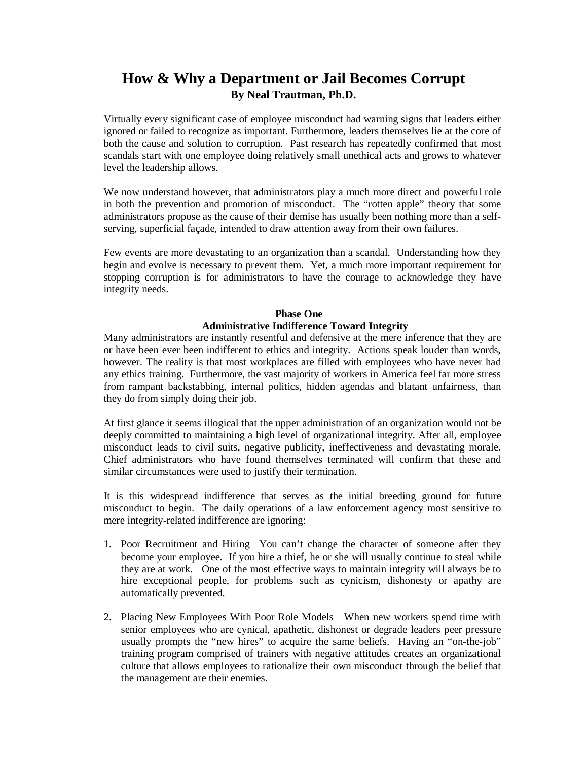# **How & Why a Department or Jail Becomes Corrupt By Neal Trautman, Ph.D.**

Virtually every significant case of employee misconduct had warning signs that leaders either ignored or failed to recognize as important. Furthermore, leaders themselves lie at the core of both the cause and solution to corruption. Past research has repeatedly confirmed that most scandals start with one employee doing relatively small unethical acts and grows to whatever level the leadership allows.

We now understand however, that administrators play a much more direct and powerful role in both the prevention and promotion of misconduct. The "rotten apple" theory that some administrators propose as the cause of their demise has usually been nothing more than a selfserving, superficial façade, intended to draw attention away from their own failures.

Few events are more devastating to an organization than a scandal. Understanding how they begin and evolve is necessary to prevent them. Yet, a much more important requirement for stopping corruption is for administrators to have the courage to acknowledge they have integrity needs.

# **Phase One Administrative Indifference Toward Integrity**

Many administrators are instantly resentful and defensive at the mere inference that they are or have been ever been indifferent to ethics and integrity. Actions speak louder than words, however. The reality is that most workplaces are filled with employees who have never had any ethics training. Furthermore, the vast majority of workers in America feel far more stress from rampant backstabbing, internal politics, hidden agendas and blatant unfairness, than they do from simply doing their job.

At first glance it seems illogical that the upper administration of an organization would not be deeply committed to maintaining a high level of organizational integrity. After all, employee misconduct leads to civil suits, negative publicity, ineffectiveness and devastating morale. Chief administrators who have found themselves terminated will confirm that these and similar circumstances were used to justify their termination.

It is this widespread indifference that serves as the initial breeding ground for future misconduct to begin. The daily operations of a law enforcement agency most sensitive to mere integrity-related indifference are ignoring:

- 1. Poor Recruitment and Hiring You can't change the character of someone after they become your employee. If you hire a thief, he or she will usually continue to steal while they are at work. One of the most effective ways to maintain integrity will always be to hire exceptional people, for problems such as cynicism, dishonesty or apathy are automatically prevented.
- 2. Placing New Employees With Poor Role Models When new workers spend time with senior employees who are cynical, apathetic, dishonest or degrade leaders peer pressure usually prompts the "new hires" to acquire the same beliefs. Having an "on-the-job" training program comprised of trainers with negative attitudes creates an organizational culture that allows employees to rationalize their own misconduct through the belief that the management are their enemies.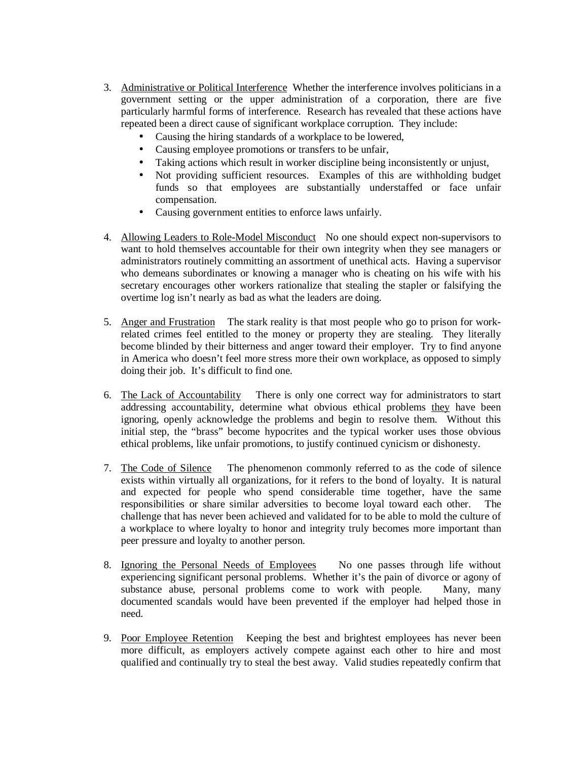- 3. Administrative or Political Interference Whether the interference involves politicians in a government setting or the upper administration of a corporation, there are five particularly harmful forms of interference. Research has revealed that these actions have repeated been a direct cause of significant workplace corruption. They include:
	- Causing the hiring standards of a workplace to be lowered,
	- Causing employee promotions or transfers to be unfair,
	- Taking actions which result in worker discipline being inconsistently or unjust,
	- Not providing sufficient resources. Examples of this are withholding budget funds so that employees are substantially understaffed or face unfair compensation.
	- Causing government entities to enforce laws unfairly.
- 4. Allowing Leaders to Role-Model Misconduct No one should expect non-supervisors to want to hold themselves accountable for their own integrity when they see managers or administrators routinely committing an assortment of unethical acts. Having a supervisor who demeans subordinates or knowing a manager who is cheating on his wife with his secretary encourages other workers rationalize that stealing the stapler or falsifying the overtime log isn't nearly as bad as what the leaders are doing.
- 5. Anger and Frustration The stark reality is that most people who go to prison for workrelated crimes feel entitled to the money or property they are stealing. They literally become blinded by their bitterness and anger toward their employer. Try to find anyone in America who doesn't feel more stress more their own workplace, as opposed to simply doing their job. It's difficult to find one.
- 6. The Lack of Accountability There is only one correct way for administrators to start addressing accountability, determine what obvious ethical problems they have been ignoring, openly acknowledge the problems and begin to resolve them. Without this initial step, the "brass" become hypocrites and the typical worker uses those obvious ethical problems, like unfair promotions, to justify continued cynicism or dishonesty.
- 7. The Code of Silence The phenomenon commonly referred to as the code of silence exists within virtually all organizations, for it refers to the bond of loyalty. It is natural and expected for people who spend considerable time together, have the same responsibilities or share similar adversities to become loyal toward each other. The challenge that has never been achieved and validated for to be able to mold the culture of a workplace to where loyalty to honor and integrity truly becomes more important than peer pressure and loyalty to another person.
- 8. Ignoring the Personal Needs of Employees No one passes through life without experiencing significant personal problems. Whether it's the pain of divorce or agony of substance abuse, personal problems come to work with people. Many, many documented scandals would have been prevented if the employer had helped those in need.
- 9. Poor Employee Retention Keeping the best and brightest employees has never been more difficult, as employers actively compete against each other to hire and most qualified and continually try to steal the best away. Valid studies repeatedly confirm that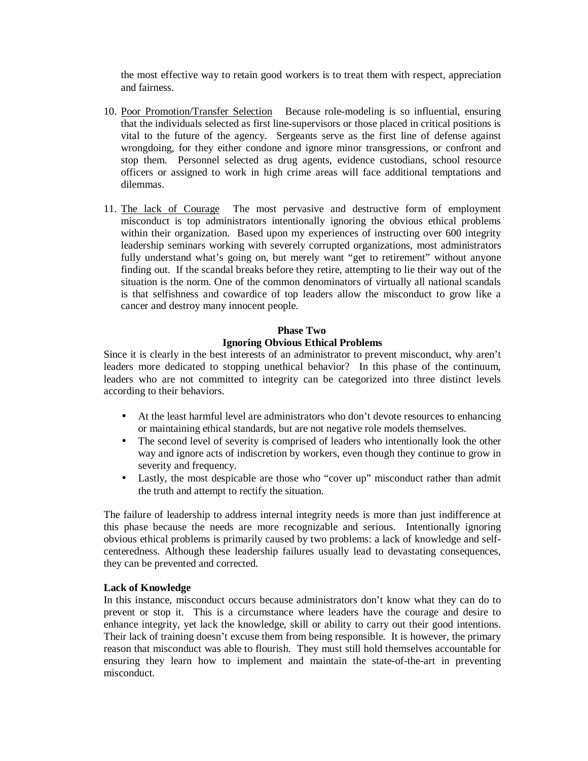the most effective way to retain good workers is to treat them with respect, appreciation and fairness.

- 10. Poor Promotion/Transfer Selection Because role-modeling is so influential, ensuring that the individuals selected as first line-supervisors or those placed in critical positions is vital to the future of the agency. Sergeants serve as the first line of defense against wrongdoing, for they either condone and ignore minor transgressions, or confront and stop them. Personnel selected as drug agents, evidence custodians, school resource officers or assigned to work in high crime areas will face additional temptations and dilemmas.
- 11. The lack of Courage The most pervasive and destructive form of employment misconduct is top administrators intentionally ignoring the obvious ethical problems within their organization. Based upon my experiences of instructing over 600 integrity leadership seminars working with severely corrupted organizations, most administrators fully understand what's going on, but merely want "get to retirement" without anyone finding out. If the scandal breaks before they retire, attempting to lie their way out of the situation is the norm. One of the common denominators of virtually all national scandals is that selfishness and cowardice of top leaders allow the misconduct to grow like a cancer and destroy many innocent people.

# **Phase Two Ignoring Obvious Ethical Problems**

Since it is clearly in the best interests of an administrator to prevent misconduct, why aren't leaders more dedicated to stopping unethical behavior? In this phase of the continuum, leaders who are not committed to integrity can be categorized into three distinct levels according to their behaviors.

- At the least harmful level are administrators who don't devote resources to enhancing or maintaining ethical standards, but are not negative role models themselves.
- The second level of severity is comprised of leaders who intentionally look the other way and ignore acts of indiscretion by workers, even though they continue to grow in severity and frequency.
- Lastly, the most despicable are those who "cover up" misconduct rather than admit the truth and attempt to rectify the situation.

The failure of leadership to address internal integrity needs is more than just indifference at this phase because the needs are more recognizable and serious. Intentionally ignoring obvious ethical problems is primarily caused by two problems: a lack of knowledge and selfcenteredness. Although these leadership failures usually lead to devastating consequences, they can be prevented and corrected.

#### **Lack of Knowledge**

In this instance, misconduct occurs because administrators don't know what they can do to prevent or stop it. This is a circumstance where leaders have the courage and desire to enhance integrity, yet lack the knowledge, skill or ability to carry out their good intentions. Their lack of training doesn't excuse them from being responsible. It is however, the primary reason that misconduct was able to flourish. They must still hold themselves accountable for ensuring they learn how to implement and maintain the state-of-the-art in preventing misconduct.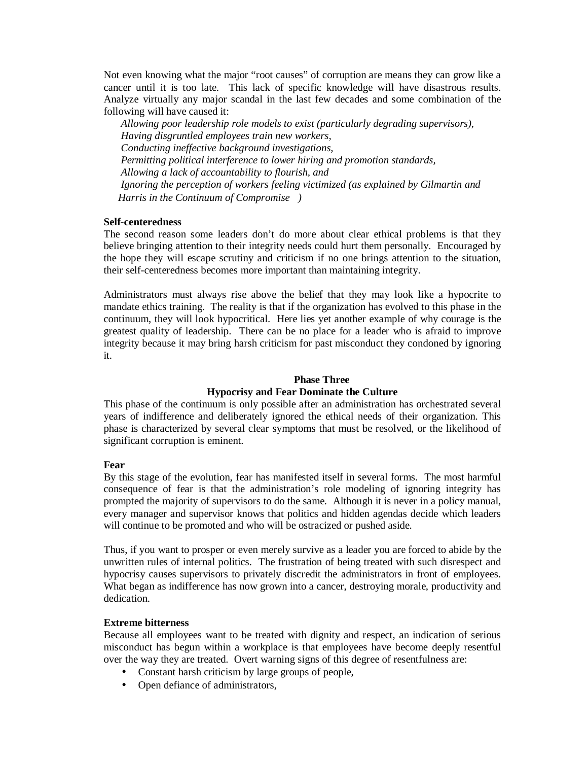Not even knowing what the major "root causes" of corruption are means they can grow like a cancer until it is too late. This lack of specific knowledge will have disastrous results. Analyze virtually any major scandal in the last few decades and some combination of the following will have caused it:

*Allowing poor leadership role models to exist (particularly degrading supervisors), Having disgruntled employees train new workers, Conducting ineffective background investigations, Permitting political interference to lower hiring and promotion standards, Allowing a lack of accountability to flourish, and Ignoring the perception of workers feeling victimized (as explained by Gilmartin and Harris in the Continuum of Compromise)*

#### **Self-centeredness**

The second reason some leaders don't do more about clear ethical problems is that they believe bringing attention to their integrity needs could hurt them personally. Encouraged by the hope they will escape scrutiny and criticism if no one brings attention to the situation, their self-centeredness becomes more important than maintaining integrity.

Administrators must always rise above the belief that they may look like a hypocrite to mandate ethics training. The reality is that if the organization has evolved to this phase in the continuum, they will look hypocritical. Here lies yet another example of why courage is the greatest quality of leadership. There can be no place for a leader who is afraid to improve integrity because it may bring harsh criticism for past misconduct they condoned by ignoring it.

# **Phase Three Hypocrisy and Fear Dominate the Culture**

This phase of the continuum is only possible after an administration has orchestrated several years of indifference and deliberately ignored the ethical needs of their organization. This phase is characterized by several clear symptoms that must be resolved, or the likelihood of significant corruption is eminent.

# **Fear**

By this stage of the evolution, fear has manifested itself in several forms. The most harmful consequence of fear is that the administration's role modeling of ignoring integrity has prompted the majority of supervisors to do the same. Although it is never in a policy manual, every manager and supervisor knows that politics and hidden agendas decide which leaders will continue to be promoted and who will be ostracized or pushed aside.

Thus, if you want to prosper or even merely survive as a leader you are forced to abide by the unwritten rules of internal politics. The frustration of being treated with such disrespect and hypocrisy causes supervisors to privately discredit the administrators in front of employees. What began as indifference has now grown into a cancer, destroying morale, productivity and dedication.

#### **Extreme bitterness**

Because all employees want to be treated with dignity and respect, an indication of serious misconduct has begun within a workplace is that employees have become deeply resentful over the way they are treated. Overt warning signs of this degree of resentfulness are:

- Constant harsh criticism by large groups of people,
- Open defiance of administrators,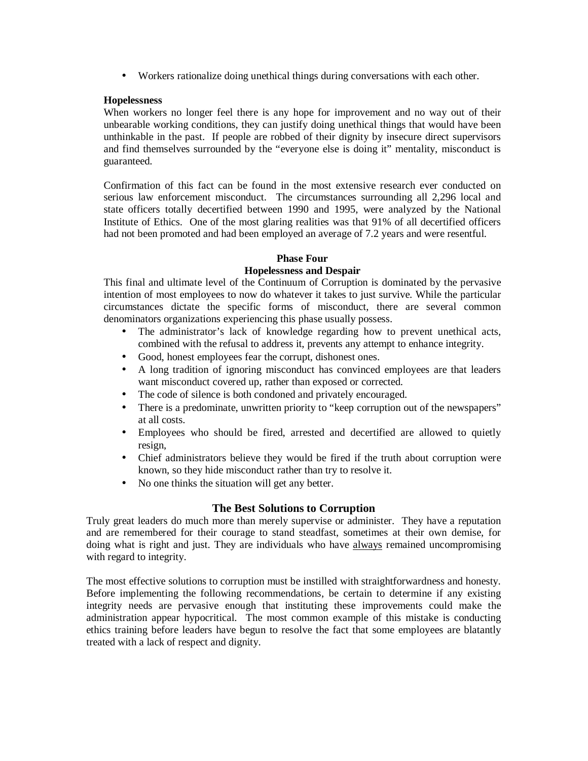• Workers rationalize doing unethical things during conversations with each other.

# **Hopelessness**

When workers no longer feel there is any hope for improvement and no way out of their unbearable working conditions, they can justify doing unethical things that would have been unthinkable in the past. If people are robbed of their dignity by insecure direct supervisors and find themselves surrounded by the "everyone else is doing it" mentality, misconduct is guaranteed.

Confirmation of this fact can be found in the most extensive research ever conducted on serious law enforcement misconduct. The circumstances surrounding all 2,296 local and state officers totally decertified between 1990 and 1995, were analyzed by the National Institute of Ethics. One of the most glaring realities was that 91% of all decertified officers had not been promoted and had been employed an average of 7.2 years and were resentful.

# **Phase Four**

# **Hopelessness and Despair**

This final and ultimate level of the Continuum of Corruption is dominated by the pervasive intention of most employees to now do whatever it takes to just survive. While the particular circumstances dictate the specific forms of misconduct, there are several common denominators organizations experiencing this phase usually possess.

- The administrator's lack of knowledge regarding how to prevent unethical acts, combined with the refusal to address it, prevents any attempt to enhance integrity.
- Good, honest employees fear the corrupt, dishonest ones.
- A long tradition of ignoring misconduct has convinced employees are that leaders want misconduct covered up, rather than exposed or corrected.
- The code of silence is both condoned and privately encouraged.
- There is a predominate, unwritten priority to "keep corruption out of the newspapers" at all costs.
- Employees who should be fired, arrested and decertified are allowed to quietly resign,
- Chief administrators believe they would be fired if the truth about corruption were known, so they hide misconduct rather than try to resolve it.
- No one thinks the situation will get any better.

# **The Best Solutions to Corruption**

Truly great leaders do much more than merely supervise or administer. They have a reputation and are remembered for their courage to stand steadfast, sometimes at their own demise, for doing what is right and just. They are individuals who have always remained uncompromising with regard to integrity.

The most effective solutions to corruption must be instilled with straightforwardness and honesty. Before implementing the following recommendations, be certain to determine if any existing integrity needs are pervasive enough that instituting these improvements could make the administration appear hypocritical. The most common example of this mistake is conducting ethics training before leaders have begun to resolve the fact that some employees are blatantly treated with a lack of respect and dignity.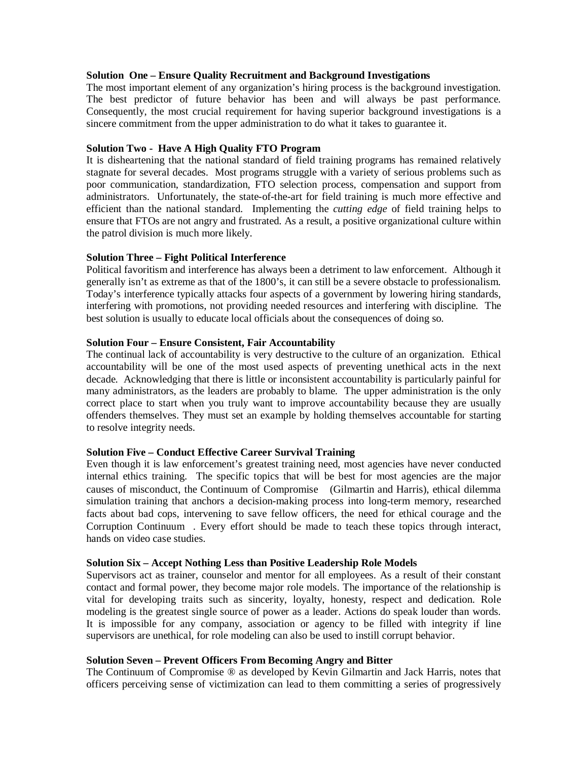#### **Solution One – Ensure Quality Recruitment and Background Investigations**

The most important element of any organization's hiring process is the background investigation. The best predictor of future behavior has been and will always be past performance. Consequently, the most crucial requirement for having superior background investigations is a sincere commitment from the upper administration to do what it takes to guarantee it.

## **Solution Two - Have A High Quality FTO Program**

It is disheartening that the national standard of field training programs has remained relatively stagnate for several decades. Most programs struggle with a variety of serious problems such as poor communication, standardization, FTO selection process, compensation and support from administrators. Unfortunately, the state-of-the-art for field training is much more effective and efficient than the national standard. Implementing the *cutting edge* of field training helps to ensure that FTOs are not angry and frustrated. As a result, a positive organizational culture within the patrol division is much more likely.

# **Solution Three – Fight Political Interference**

Political favoritism and interference has always been a detriment to law enforcement. Although it generally isn't as extreme as that of the 1800's, it can still be a severe obstacle to professionalism. Today's interference typically attacks four aspects of a government by lowering hiring standards, interfering with promotions, not providing needed resources and interfering with discipline. The best solution is usually to educate local officials about the consequences of doing so.

### **Solution Four – Ensure Consistent, Fair Accountability**

The continual lack of accountability is very destructive to the culture of an organization. Ethical accountability will be one of the most used aspects of preventing unethical acts in the next decade. Acknowledging that there is little or inconsistent accountability is particularly painful for many administrators, as the leaders are probably to blame. The upper administration is the only correct place to start when you truly want to improve accountability because they are usually offenders themselves. They must set an example by holding themselves accountable for starting to resolve integrity needs.

# **Solution Five – Conduct Effective Career Survival Training**

Even though it is law enforcement's greatest training need, most agencies have never conducted internal ethics training. The specific topics that will be best for most agencies are the major causes of misconduct, the Continuum of Compromise© (Gilmartin and Harris), ethical dilemma simulation training that anchors a decision-making process into long-term memory, researched facts about bad cops, intervening to save fellow officers, the need for ethical courage and the Corruption Continuum©. Every effort should be made to teach these topics through interact, hands on video case studies.

# **Solution Six – Accept Nothing Less than Positive Leadership Role Models**

Supervisors act as trainer, counselor and mentor for all employees. As a result of their constant contact and formal power, they become major role models. The importance of the relationship is vital for developing traits such as sincerity, loyalty, honesty, respect and dedication. Role modeling is the greatest single source of power as a leader. Actions do speak louder than words. It is impossible for any company, association or agency to be filled with integrity if line supervisors are unethical, for role modeling can also be used to instill corrupt behavior.

# **Solution Seven – Prevent Officers From Becoming Angry and Bitter**

The Continuum of Compromise ® as developed by Kevin Gilmartin and Jack Harris, notes that officers perceiving sense of victimization can lead to them committing a series of progressively